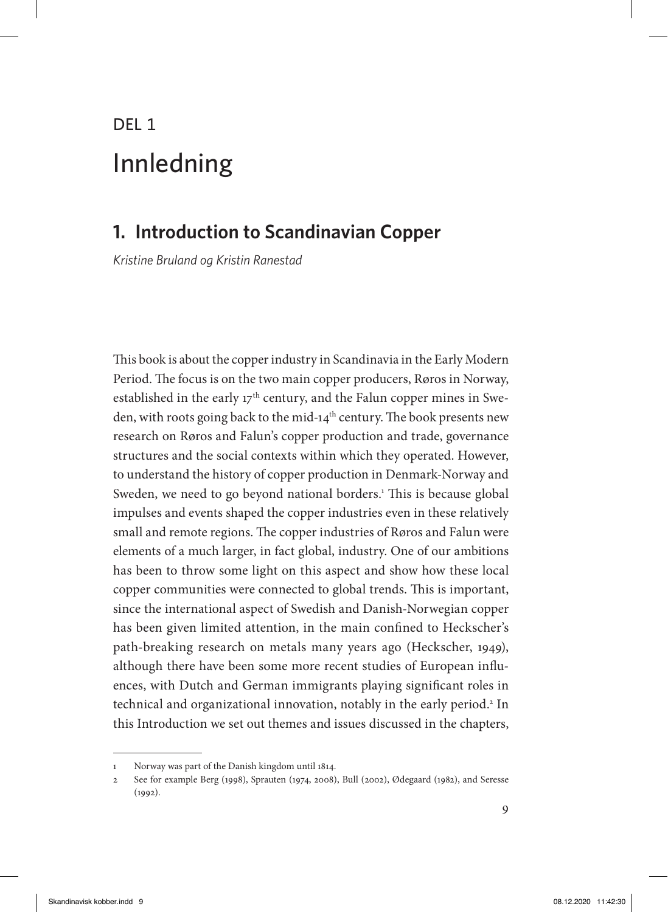# DEL 1 Innledning

## **1. Introduction to Scandinavian Copper**

*Kristine Bruland og Kristin Ranestad*

This book is about the copper industry in Scandinavia in the Early Modern Period. The focus is on the two main copper producers, Røros in Norway, established in the early 17<sup>th</sup> century, and the Falun copper mines in Sweden, with roots going back to the mid-14<sup>th</sup> century. The book presents new research on Røros and Falun's copper production and trade, governance structures and the social contexts within which they operated. However, to understand the history of copper production in Denmark-Norway and Sweden, we need to go beyond national borders.<sup>1</sup> This is because global impulses and events shaped the copper industries even in these relatively small and remote regions. The copper industries of Røros and Falun were elements of a much larger, in fact global, industry. One of our ambitions has been to throw some light on this aspect and show how these local copper communities were connected to global trends. This is important, since the international aspect of Swedish and Danish-Norwegian copper has been given limited attention, in the main confined to Heckscher's path-breaking research on metals many years ago (Heckscher, 1949), although there have been some more recent studies of European influences, with Dutch and German immigrants playing significant roles in technical and organizational innovation, notably in the early period.<sup>2</sup> In this Introduction we set out themes and issues discussed in the chapters,

<sup>1</sup> Norway was part of the Danish kingdom until 1814.

<sup>2</sup> See for example Berg (1998), Sprauten (1974, 2008), Bull (2002), Ødegaard (1982), and Seresse (1992).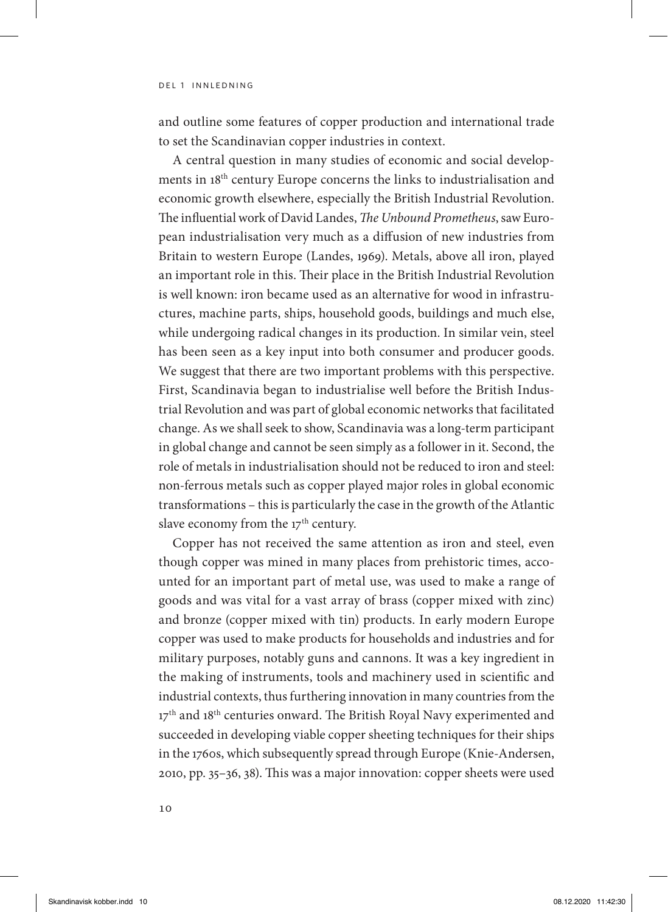and outline some features of copper production and international trade to set the Scandinavian copper industries in context.

A central question in many studies of economic and social developments in 18th century Europe concerns the links to industrialisation and economic growth elsewhere, especially the British Industrial Revolution. The influential work of David Landes, *The Unbound Prometheus*, saw European industrialisation very much as a diffusion of new industries from Britain to western Europe (Landes, 1969). Metals, above all iron, played an important role in this. Their place in the British Industrial Revolution is well known: iron became used as an alternative for wood in infrastructures, machine parts, ships, household goods, buildings and much else, while undergoing radical changes in its production. In similar vein, steel has been seen as a key input into both consumer and producer goods. We suggest that there are two important problems with this perspective. First, Scandinavia began to industrialise well before the British Industrial Revolution and was part of global economic networks that facilitated change. As we shall seek to show, Scandinavia was a long-term participant in global change and cannot be seen simply as a follower in it. Second, the role of metals in industrialisation should not be reduced to iron and steel: non-ferrous metals such as copper played major roles in global economic transformations – this is particularly the case in the growth of the Atlantic slave economy from the  $17<sup>th</sup>$  century.

Copper has not received the same attention as iron and steel, even though copper was mined in many places from prehistoric times, accounted for an important part of metal use, was used to make a range of goods and was vital for a vast array of brass (copper mixed with zinc) and bronze (copper mixed with tin) products. In early modern Europe copper was used to make products for households and industries and for military purposes, notably guns and cannons. It was a key ingredient in the making of instruments, tools and machinery used in scientific and industrial contexts, thus furthering innovation in many countries from the 17<sup>th</sup> and 18<sup>th</sup> centuries onward. The British Royal Navy experimented and succeeded in developing viable copper sheeting techniques for their ships in the 1760s, which subsequently spread through Europe (Knie-Andersen, 2010, pp. 35–36, 38). This was a major innovation: copper sheets were used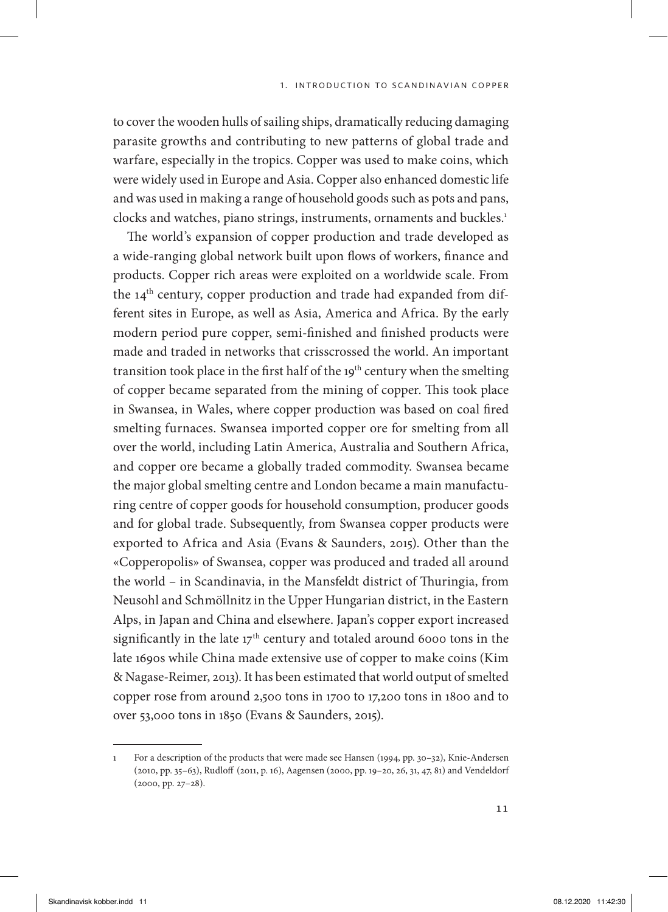to cover the wooden hulls of sailing ships, dramatically reducing damaging parasite growths and contributing to new patterns of global trade and warfare, especially in the tropics. Copper was used to make coins, which were widely used in Europe and Asia. Copper also enhanced domestic life and was used in making a range of household goods such as pots and pans, clocks and watches, piano strings, instruments, ornaments and buckles.<sup>1</sup>

The world's expansion of copper production and trade developed as a wide-ranging global network built upon flows of workers, finance and products. Copper rich areas were exploited on a worldwide scale. From the 14<sup>th</sup> century, copper production and trade had expanded from different sites in Europe, as well as Asia, America and Africa. By the early modern period pure copper, semi-finished and finished products were made and traded in networks that crisscrossed the world. An important transition took place in the first half of the 19<sup>th</sup> century when the smelting of copper became separated from the mining of copper. This took place in Swansea, in Wales, where copper production was based on coal fired smelting furnaces. Swansea imported copper ore for smelting from all over the world, including Latin America, Australia and Southern Africa, and copper ore became a globally traded commodity. Swansea became the major global smelting centre and London became a main manufacturing centre of copper goods for household consumption, producer goods and for global trade. Subsequently, from Swansea copper products were exported to Africa and Asia (Evans & Saunders, 2015). Other than the «Copperopolis» of Swansea, copper was produced and traded all around the world – in Scandinavia, in the Mansfeldt district of Thuringia, from Neusohl and Schmöllnitz in the Upper Hungarian district, in the Eastern Alps, in Japan and China and elsewhere. Japan's copper export increased significantly in the late  $17<sup>th</sup>$  century and totaled around 6000 tons in the late 1690s while China made extensive use of copper to make coins (Kim & Nagase-Reimer, 2013). It has been estimated that world output of smelted copper rose from around 2,500 tons in 1700 to 17,200 tons in 1800 and to over 53,000 tons in 1850 (Evans & Saunders, 2015).

<sup>1</sup> For a description of the products that were made see Hansen (1994, pp. 30–32), Knie-Andersen (2010, pp. 35–63), Rudloff (2011, p. 16), Aagensen (2000, pp. 19–20, 26, 31, 47, 81) and Vendeldorf (2000, pp. 27–28).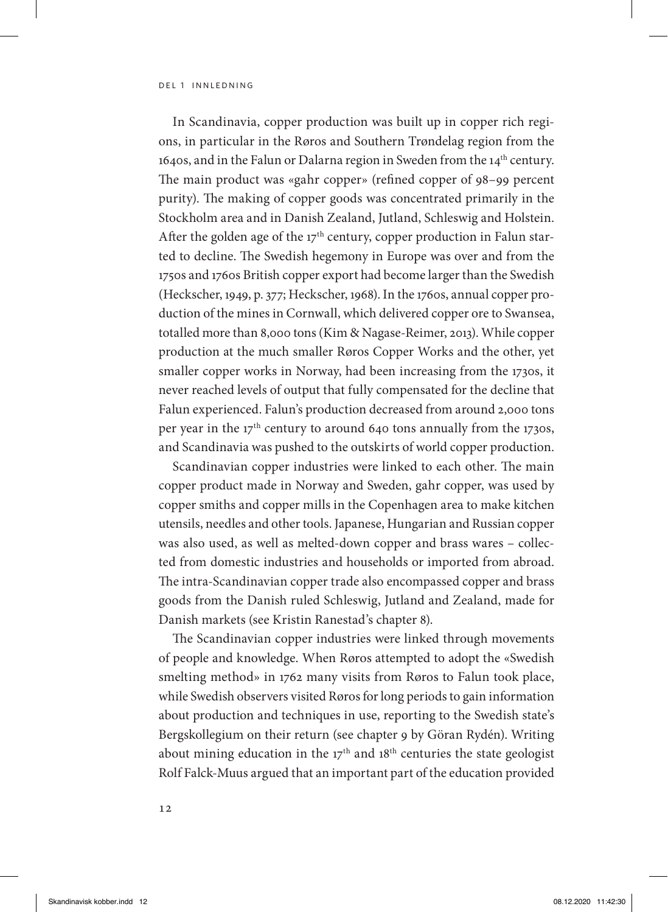In Scandinavia, copper production was built up in copper rich regions, in particular in the Røros and Southern Trøndelag region from the 1640s, and in the Falun or Dalarna region in Sweden from the  $14<sup>th</sup>$  century. The main product was «gahr copper» (refined copper of 98–99 percent purity). The making of copper goods was concentrated primarily in the Stockholm area and in Danish Zealand, Jutland, Schleswig and Holstein. After the golden age of the  $17<sup>th</sup>$  century, copper production in Falun started to decline. The Swedish hegemony in Europe was over and from the 1750s and 1760s British copper export had become larger than the Swedish (Heckscher, 1949, p. 377; Heckscher, 1968). In the 1760s, annual copper production of the mines in Cornwall, which delivered copper ore to Swansea, totalled more than 8,000 tons (Kim & Nagase-Reimer, 2013). While copper production at the much smaller Røros Copper Works and the other, yet smaller copper works in Norway, had been increasing from the 1730s, it never reached levels of output that fully compensated for the decline that Falun experienced. Falun's production decreased from around 2,000 tons per year in the 17<sup>th</sup> century to around 640 tons annually from the 1730s, and Scandinavia was pushed to the outskirts of world copper production.

Scandinavian copper industries were linked to each other. The main copper product made in Norway and Sweden, gahr copper, was used by copper smiths and copper mills in the Copenhagen area to make kitchen utensils, needles and other tools. Japanese, Hungarian and Russian copper was also used, as well as melted-down copper and brass wares – collected from domestic industries and households or imported from abroad. The intra-Scandinavian copper trade also encompassed copper and brass goods from the Danish ruled Schleswig, Jutland and Zealand, made for Danish markets (see Kristin Ranestad's chapter 8).

The Scandinavian copper industries were linked through movements of people and knowledge. When Røros attempted to adopt the «Swedish smelting method» in 1762 many visits from Røros to Falun took place, while Swedish observers visited Røros for long periods to gain information about production and techniques in use, reporting to the Swedish state's Bergskollegium on their return (see chapter 9 by Göran Rydén). Writing about mining education in the  $17<sup>th</sup>$  and  $18<sup>th</sup>$  centuries the state geologist Rolf Falck-Muus argued that an important part of the education provided

12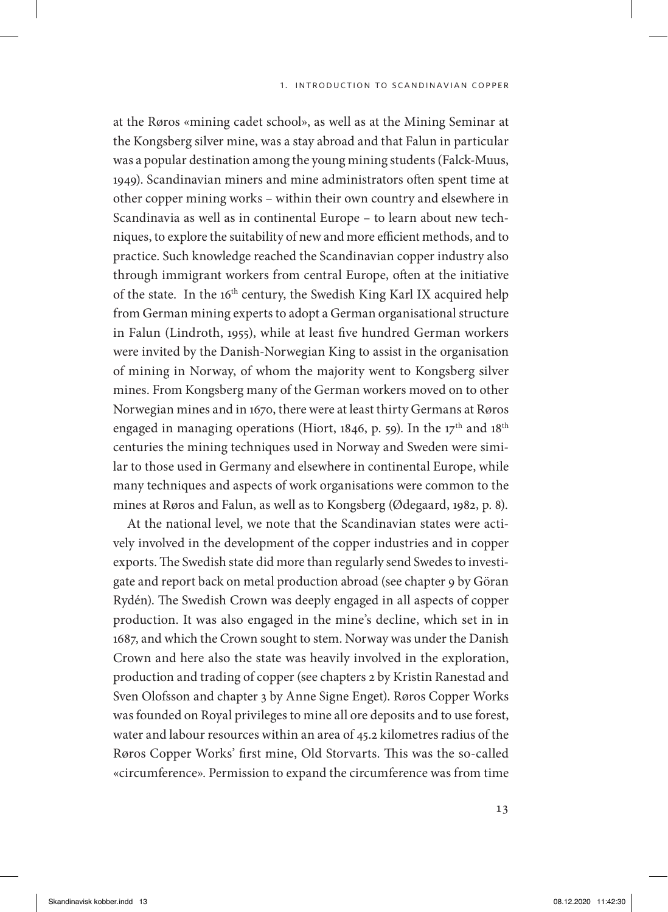at the Røros «mining cadet school», as well as at the Mining Seminar at the Kongsberg silver mine, was a stay abroad and that Falun in particular was a popular destination among the young mining students (Falck-Muus, 1949). Scandinavian miners and mine administrators often spent time at other copper mining works – within their own country and elsewhere in Scandinavia as well as in continental Europe – to learn about new techniques, to explore the suitability of new and more efficient methods, and to practice. Such knowledge reached the Scandinavian copper industry also through immigrant workers from central Europe, often at the initiative of the state. In the 16<sup>th</sup> century, the Swedish King Karl IX acquired help from German mining experts to adopt a German organisational structure in Falun (Lindroth, 1955), while at least five hundred German workers were invited by the Danish-Norwegian King to assist in the organisation of mining in Norway, of whom the majority went to Kongsberg silver mines. From Kongsberg many of the German workers moved on to other Norwegian mines and in 1670, there were at least thirty Germans at Røros engaged in managing operations (Hiort, 1846, p. 59). In the  $17<sup>th</sup>$  and  $18<sup>th</sup>$ centuries the mining techniques used in Norway and Sweden were similar to those used in Germany and elsewhere in continental Europe, while many techniques and aspects of work organisations were common to the mines at Røros and Falun, as well as to Kongsberg (Ødegaard, 1982, p. 8).

At the national level, we note that the Scandinavian states were actively involved in the development of the copper industries and in copper exports. The Swedish state did more than regularly send Swedes to investigate and report back on metal production abroad (see chapter 9 by Göran Rydén). The Swedish Crown was deeply engaged in all aspects of copper production. It was also engaged in the mine's decline, which set in in 1687, and which the Crown sought to stem. Norway was under the Danish Crown and here also the state was heavily involved in the exploration, production and trading of copper (see chapters 2 by Kristin Ranestad and Sven Olofsson and chapter 3 by Anne Signe Enget). Røros Copper Works was founded on Royal privileges to mine all ore deposits and to use forest, water and labour resources within an area of 45.2 kilometres radius of the Røros Copper Works' first mine, Old Storvarts. This was the so-called «circumference». Permission to expand the circumference was from time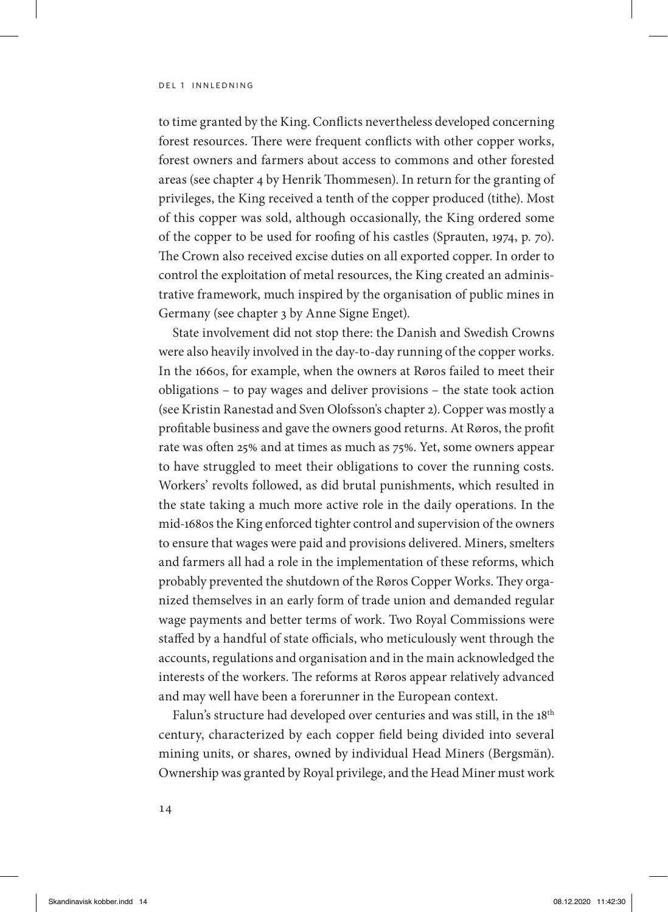#### del 1 innledning

to time granted by the King. Conflicts nevertheless developed concerning forest resources. There were frequent conflicts with other copper works, forest owners and farmers about access to commons and other forested areas (see chapter 4 by Henrik Thommesen). In return for the granting of privileges, the King received a tenth of the copper produced (tithe). Most of this copper was sold, although occasionally, the King ordered some of the copper to be used for roofing of his castles (Sprauten, 1974, p. 70). The Crown also received excise duties on all exported copper. In order to control the exploitation of metal resources, the King created an administrative framework, much inspired by the organisation of public mines in Germany (see chapter 3 by Anne Signe Enget).

State involvement did not stop there: the Danish and Swedish Crowns were also heavily involved in the day-to-day running of the copper works. In the 1660s, for example, when the owners at Røros failed to meet their obligations – to pay wages and deliver provisions – the state took action (see Kristin Ranestad and Sven Olofsson's chapter 2). Copper was mostly a profitable business and gave the owners good returns. At Røros, the profit rate was often 25% and at times as much as 75%. Yet, some owners appear to have struggled to meet their obligations to cover the running costs. Workers' revolts followed, as did brutal punishments, which resulted in the state taking a much more active role in the daily operations. In the mid-1680s the King enforced tighter control and supervision of the owners to ensure that wages were paid and provisions delivered. Miners, smelters and farmers all had a role in the implementation of these reforms, which probably prevented the shutdown of the Røros Copper Works. They organized themselves in an early form of trade union and demanded regular wage payments and better terms of work. Two Royal Commissions were staffed by a handful of state officials, who meticulously went through the accounts, regulations and organisation and in the main acknowledged the interests of the workers. The reforms at Røros appear relatively advanced and may well have been a forerunner in the European context.

Falun's structure had developed over centuries and was still, in the 18<sup>th</sup> century, characterized by each copper field being divided into several mining units, or shares, owned by individual Head Miners (Bergsmän). Ownership was granted by Royal privilege, and the Head Miner must work

14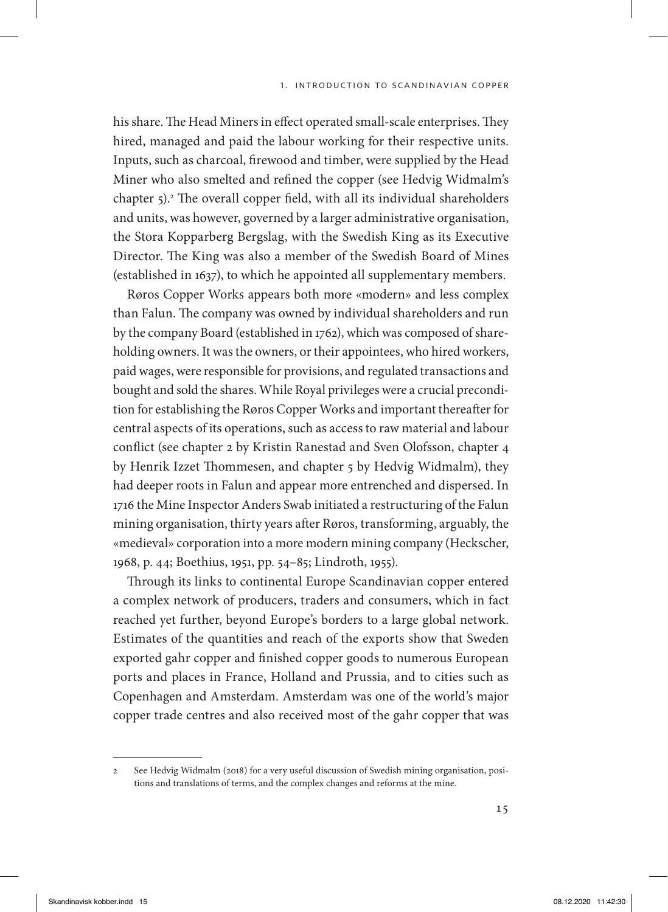his share. The Head Miners in effect operated small-scale enterprises. They hired, managed and paid the labour working for their respective units. Inputs, such as charcoal, firewood and timber, were supplied by the Head Miner who also smelted and refined the copper (see Hedvig Widmalm's chapter 5).<sup>2</sup> The overall copper field, with all its individual shareholders and units, was however, governed by a larger administrative organisation, the Stora Kopparberg Bergslag, with the Swedish King as its Executive Director. The King was also a member of the Swedish Board of Mines (established in 1637), to which he appointed all supplementary members.

Røros Copper Works appears both more «modern» and less complex than Falun. The company was owned by individual shareholders and run by the company Board (established in 1762), which was composed of shareholding owners. It was the owners, or their appointees, who hired workers, paid wages, were responsible for provisions, and regulated transactions and bought and sold the shares. While Royal privileges were a crucial precondition for establishing the Røros Copper Works and important thereafter for central aspects of its operations, such as access to raw material and labour conflict (see chapter 2 by Kristin Ranestad and Sven Olofsson, chapter 4 by Henrik Izzet Thommesen, and chapter 5 by Hedvig Widmalm), they had deeper roots in Falun and appear more entrenched and dispersed. In 1716 the Mine Inspector Anders Swab initiated a restructuring of the Falun mining organisation, thirty years after Røros, transforming, arguably, the «medieval» corporation into a more modern mining company (Heckscher, 1968, p. 44; Boethius, 1951, pp. 54–85; Lindroth, 1955).

Through its links to continental Europe Scandinavian copper entered a complex network of producers, traders and consumers, which in fact reached yet further, beyond Europe's borders to a large global network. Estimates of the quantities and reach of the exports show that Sweden exported gahr copper and finished copper goods to numerous European ports and places in France, Holland and Prussia, and to cities such as Copenhagen and Amsterdam. Amsterdam was one of the world's major copper trade centres and also received most of the gahr copper that was

<sup>2</sup> See Hedvig Widmalm (2018) for a very useful discussion of Swedish mining organisation, positions and translations of terms, and the complex changes and reforms at the mine.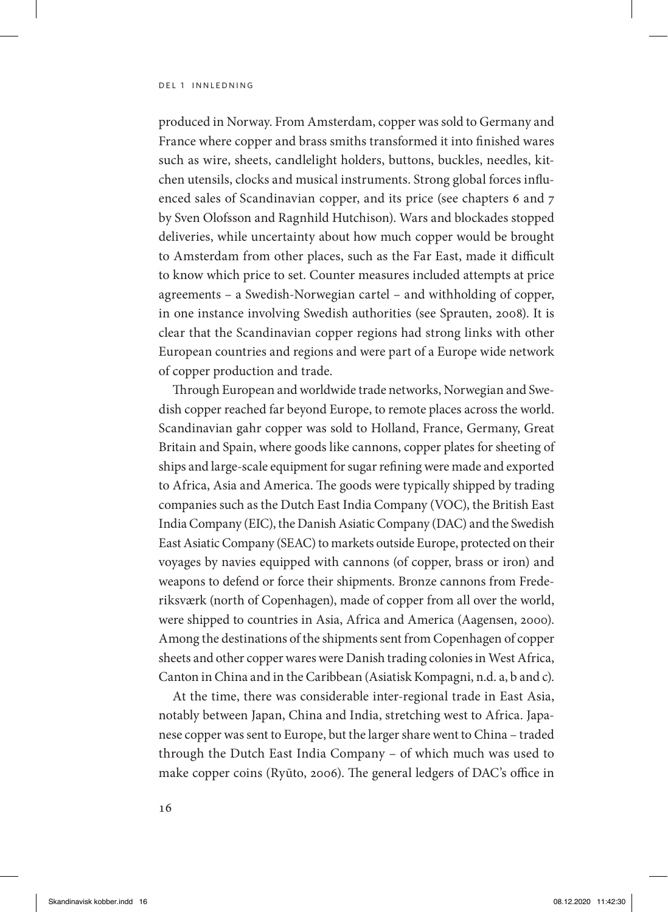#### DEL 1 INNLEDNING

produced in Norway. From Amsterdam, copper was sold to Germany and France where copper and brass smiths transformed it into finished wares such as wire, sheets, candlelight holders, buttons, buckles, needles, kitchen utensils, clocks and musical instruments. Strong global forces influenced sales of Scandinavian copper, and its price (see chapters 6 and 7 by Sven Olofsson and Ragnhild Hutchison). Wars and blockades stopped deliveries, while uncertainty about how much copper would be brought to Amsterdam from other places, such as the Far East, made it difficult to know which price to set. Counter measures included attempts at price agreements – a Swedish-Norwegian cartel – and withholding of copper, in one instance involving Swedish authorities (see Sprauten, 2008). It is clear that the Scandinavian copper regions had strong links with other European countries and regions and were part of a Europe wide network of copper production and trade.

Through European and worldwide trade networks, Norwegian and Swedish copper reached far beyond Europe, to remote places across the world. Scandinavian gahr copper was sold to Holland, France, Germany, Great Britain and Spain, where goods like cannons, copper plates for sheeting of ships and large-scale equipment for sugar refining were made and exported to Africa, Asia and America. The goods were typically shipped by trading companies such as the Dutch East India Company (VOC), the British East India Company (EIC), the Danish Asiatic Company (DAC) and the Swedish East Asiatic Company (SEAC) to markets outside Europe, protected on their voyages by navies equipped with cannons (of copper, brass or iron) and weapons to defend or force their shipments. Bronze cannons from Frederiksværk (north of Copenhagen), made of copper from all over the world, were shipped to countries in Asia, Africa and America (Aagensen, 2000). Among the destinations of the shipments sent from Copenhagen of copper sheets and other copper wares were Danish trading colonies in West Africa, Canton in China and in the Caribbean (Asiatisk Kompagni, n.d. a, b and c).

At the time, there was considerable inter-regional trade in East Asia, notably between Japan, China and India, stretching west to Africa. Japanese copper was sent to Europe, but the larger share went to China – traded through the Dutch East India Company – of which much was used to make copper coins (Ryūto, 2006). The general ledgers of DAC's office in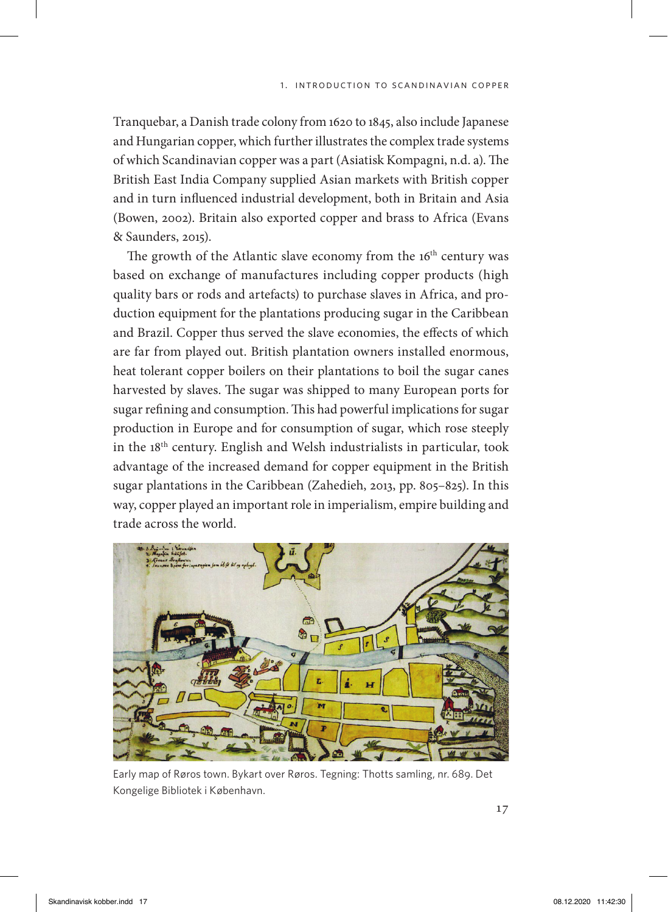Tranquebar, a Danish trade colony from 1620 to 1845, also include Japanese and Hungarian copper, which further illustrates the complex trade systems of which Scandinavian copper was a part (Asiatisk Kompagni, n.d. a). The British East India Company supplied Asian markets with British copper and in turn influenced industrial development, both in Britain and Asia (Bowen, 2002). Britain also exported copper and brass to Africa (Evans & Saunders, 2015).

The growth of the Atlantic slave economy from the 16<sup>th</sup> century was based on exchange of manufactures including copper products (high quality bars or rods and artefacts) to purchase slaves in Africa, and production equipment for the plantations producing sugar in the Caribbean and Brazil. Copper thus served the slave economies, the effects of which are far from played out. British plantation owners installed enormous, heat tolerant copper boilers on their plantations to boil the sugar canes harvested by slaves. The sugar was shipped to many European ports for sugar refining and consumption. This had powerful implications for sugar production in Europe and for consumption of sugar, which rose steeply in the 18th century. English and Welsh industrialists in particular, took advantage of the increased demand for copper equipment in the British sugar plantations in the Caribbean (Zahedieh, 2013, pp. 805–825). In this way, copper played an important role in imperialism, empire building and trade across the world.



Early map of Røros town. Bykart over Røros. Tegning: Thotts samling, nr. 689. Det Kongelige Bibliotek i København.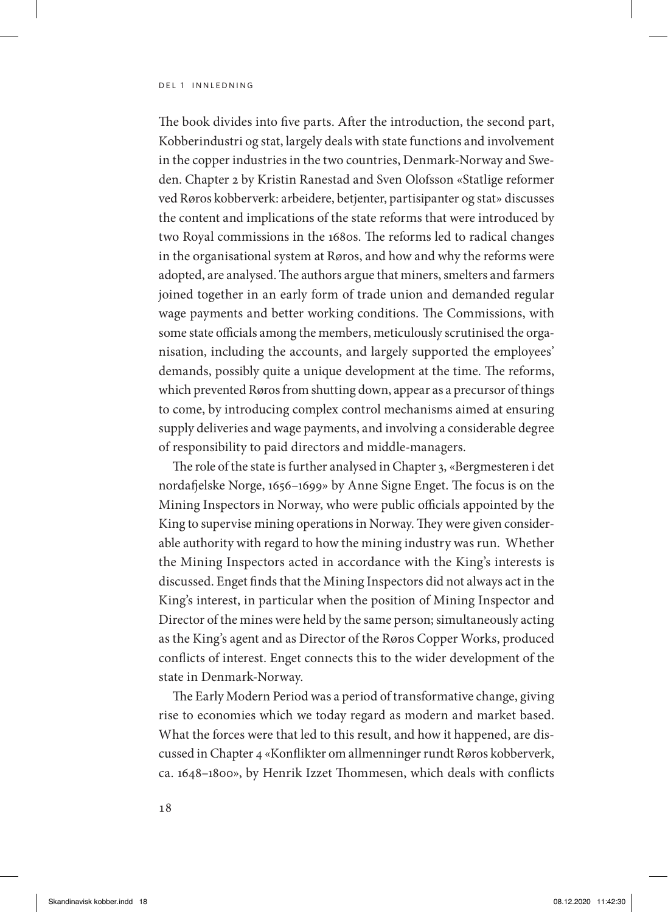#### del 1 innledning

The book divides into five parts. After the introduction, the second part, Kobberindustri og stat, largely deals with state functions and involvement in the copper industries in the two countries, Denmark-Norway and Sweden. Chapter 2 by Kristin Ranestad and Sven Olofsson «Statlige reformer ved Røros kobberverk: arbeidere, betjenter, partisipanter og stat» discusses the content and implications of the state reforms that were introduced by two Royal commissions in the 1680s. The reforms led to radical changes in the organisational system at Røros, and how and why the reforms were adopted, are analysed. The authors argue that miners, smelters and farmers joined together in an early form of trade union and demanded regular wage payments and better working conditions. The Commissions, with some state officials among the members, meticulously scrutinised the organisation, including the accounts, and largely supported the employees' demands, possibly quite a unique development at the time. The reforms, which prevented Røros from shutting down, appear as a precursor of things to come, by introducing complex control mechanisms aimed at ensuring supply deliveries and wage payments, and involving a considerable degree of responsibility to paid directors and middle-managers.

The role of the state is further analysed in Chapter 3, «Bergmesteren i det nordafjelske Norge, 1656–1699» by Anne Signe Enget. The focus is on the Mining Inspectors in Norway, who were public officials appointed by the King to supervise mining operations in Norway. They were given considerable authority with regard to how the mining industry was run. Whether the Mining Inspectors acted in accordance with the King's interests is discussed. Enget finds that the Mining Inspectors did not always act in the King's interest, in particular when the position of Mining Inspector and Director of the mines were held by the same person; simultaneously acting as the King's agent and as Director of the Røros Copper Works, produced conflicts of interest. Enget connects this to the wider development of the state in Denmark-Norway.

The Early Modern Period was a period of transformative change, giving rise to economies which we today regard as modern and market based. What the forces were that led to this result, and how it happened, are discussed in Chapter 4 «Konflikter om allmenninger rundt Røros kobberverk, ca. 1648–1800», by Henrik Izzet Thommesen, which deals with conflicts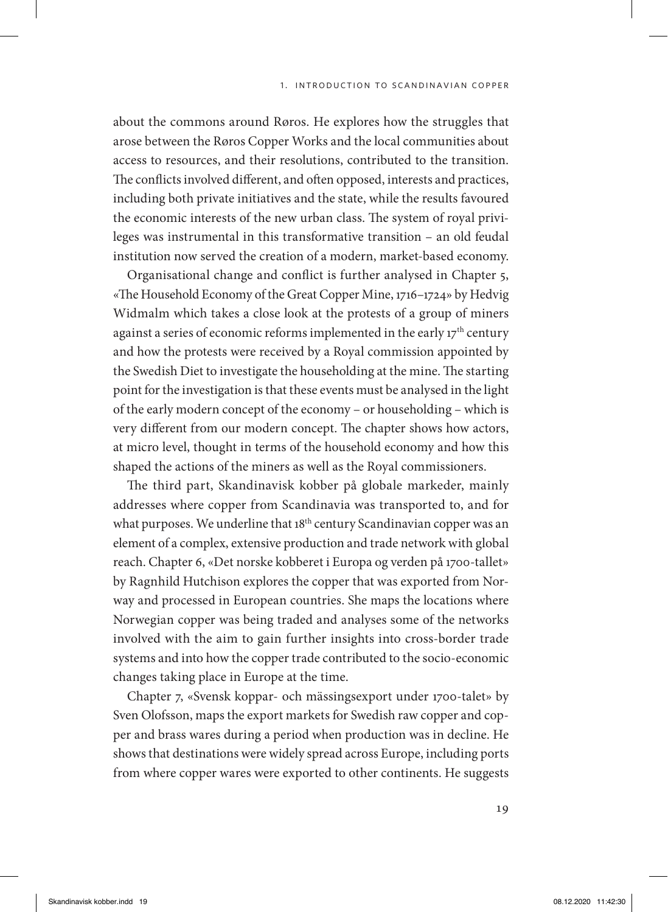about the commons around Røros. He explores how the struggles that arose between the Røros Copper Works and the local communities about access to resources, and their resolutions, contributed to the transition. The conflicts involved different, and often opposed, interests and practices, including both private initiatives and the state, while the results favoured the economic interests of the new urban class. The system of royal privileges was instrumental in this transformative transition – an old feudal institution now served the creation of a modern, market-based economy.

Organisational change and conflict is further analysed in Chapter 5, «The Household Economy of the Great Copper Mine, 1716–1724» by Hedvig Widmalm which takes a close look at the protests of a group of miners against a series of economic reforms implemented in the early 17<sup>th</sup> century and how the protests were received by a Royal commission appointed by the Swedish Diet to investigate the householding at the mine. The starting point for the investigation is that these events must be analysed in the light of the early modern concept of the economy – or householding – which is very different from our modern concept. The chapter shows how actors, at micro level, thought in terms of the household economy and how this shaped the actions of the miners as well as the Royal commissioners.

The third part, Skandinavisk kobber på globale markeder, mainly addresses where copper from Scandinavia was transported to, and for what purposes. We underline that 18<sup>th</sup> century Scandinavian copper was an element of a complex, extensive production and trade network with global reach. Chapter 6, «Det norske kobberet i Europa og verden på 1700-tallet» by Ragnhild Hutchison explores the copper that was exported from Norway and processed in European countries. She maps the locations where Norwegian copper was being traded and analyses some of the networks involved with the aim to gain further insights into cross-border trade systems and into how the copper trade contributed to the socio-economic changes taking place in Europe at the time.

Chapter 7, «Svensk koppar- och mässingsexport under 1700-talet» by Sven Olofsson, maps the export markets for Swedish raw copper and copper and brass wares during a period when production was in decline. He shows that destinations were widely spread across Europe, including ports from where copper wares were exported to other continents. He suggests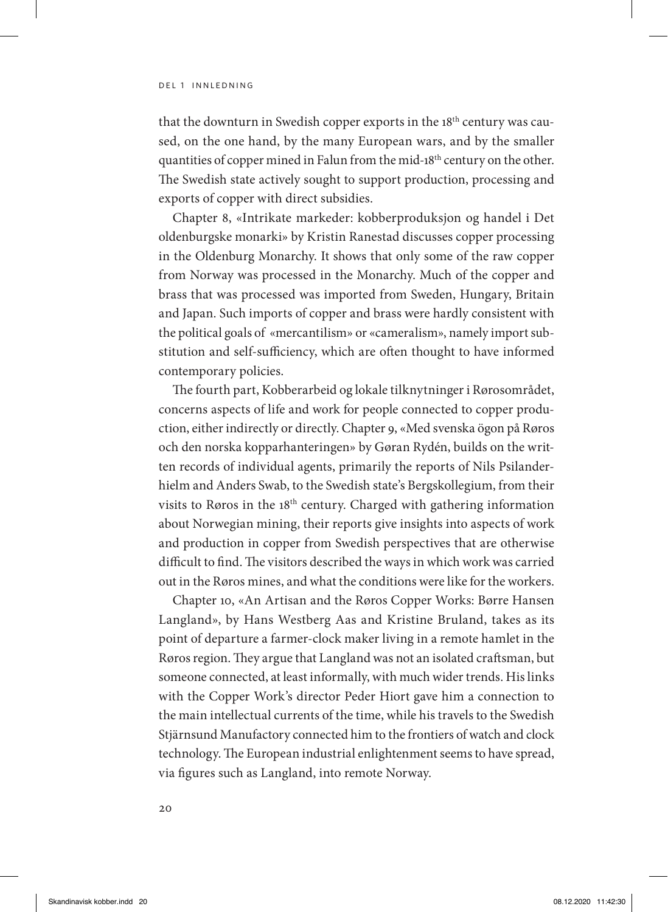that the downturn in Swedish copper exports in the 18<sup>th</sup> century was caused, on the one hand, by the many European wars, and by the smaller quantities of copper mined in Falun from the mid-18th century on the other. The Swedish state actively sought to support production, processing and exports of copper with direct subsidies.

Chapter 8, «Intrikate markeder: kobberproduksjon og handel i Det oldenburgske monarki» by Kristin Ranestad discusses copper processing in the Oldenburg Monarchy. It shows that only some of the raw copper from Norway was processed in the Monarchy. Much of the copper and brass that was processed was imported from Sweden, Hungary, Britain and Japan. Such imports of copper and brass were hardly consistent with the political goals of «mercantilism» or «cameralism», namely import substitution and self-sufficiency, which are often thought to have informed contemporary policies.

The fourth part, Kobberarbeid og lokale tilknytninger i Rørosområdet, concerns aspects of life and work for people connected to copper production, either indirectly or directly. Chapter 9, «Med svenska ögon på Røros och den norska kopparhanteringen» by Gøran Rydén, builds on the written records of individual agents, primarily the reports of Nils Psilanderhielm and Anders Swab, to the Swedish state's Bergskollegium, from their visits to Røros in the 18<sup>th</sup> century. Charged with gathering information about Norwegian mining, their reports give insights into aspects of work and production in copper from Swedish perspectives that are otherwise difficult to find. The visitors described the ways in which work was carried out in the Røros mines, and what the conditions were like for the workers.

Chapter 10, «An Artisan and the Røros Copper Works: Børre Hansen Langland», by Hans Westberg Aas and Kristine Bruland, takes as its point of departure a farmer-clock maker living in a remote hamlet in the Røros region. They argue that Langland was not an isolated craftsman, but someone connected, at least informally, with much wider trends. His links with the Copper Work's director Peder Hiort gave him a connection to the main intellectual currents of the time, while his travels to the Swedish Stjärnsund Manufactory connected him to the frontiers of watch and clock technology. The European industrial enlightenment seems to have spread, via figures such as Langland, into remote Norway.

20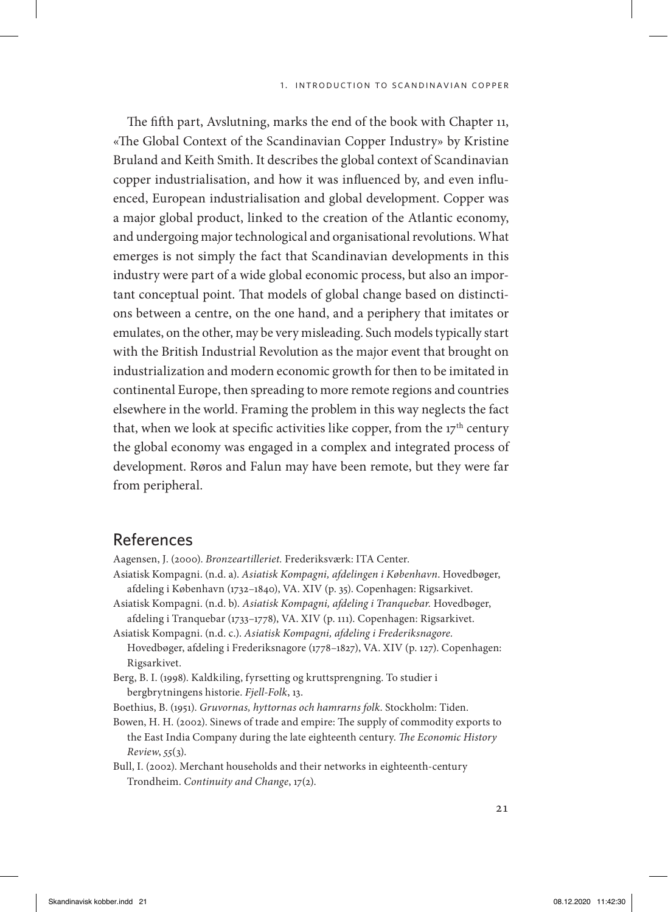The fifth part, Avslutning, marks the end of the book with Chapter 11, «The Global Context of the Scandinavian Copper Industry» by Kristine Bruland and Keith Smith. It describes the global context of Scandinavian copper industrialisation, and how it was influenced by, and even influenced, European industrialisation and global development. Copper was a major global product, linked to the creation of the Atlantic economy, and undergoing major technological and organisational revolutions. What emerges is not simply the fact that Scandinavian developments in this industry were part of a wide global economic process, but also an important conceptual point. That models of global change based on distinctions between a centre, on the one hand, and a periphery that imitates or emulates, on the other, may be very misleading. Such models typically start with the British Industrial Revolution as the major event that brought on industrialization and modern economic growth for then to be imitated in continental Europe, then spreading to more remote regions and countries elsewhere in the world. Framing the problem in this way neglects the fact that, when we look at specific activities like copper, from the  $17<sup>th</sup>$  century the global economy was engaged in a complex and integrated process of development. Røros and Falun may have been remote, but they were far from peripheral.

### References

Aagensen, J. (2000). *Bronzeartilleriet.* Frederiksværk: ITA Center.

- Asiatisk Kompagni. (n.d. a). *Asiatisk Kompagni, afdelingen i København*. Hovedbøger, afdeling i København (1732–1840), VA. XIV (p. 35). Copenhagen: Rigsarkivet.
- Asiatisk Kompagni. (n.d. b). *Asiatisk Kompagni, afdeling i Tranquebar.* Hovedbøger, afdeling i Tranquebar (1733–1778), VA. XIV (p. 111). Copenhagen: Rigsarkivet.

Asiatisk Kompagni. (n.d. c.). *Asiatisk Kompagni, afdeling i Frederiksnagore.* Hovedbøger, afdeling i Frederiksnagore (1778–1827), VA. XIV (p. 127). Copenhagen: Rigsarkivet.

Berg, B. I. (1998). Kaldkiling, fyrsetting og kruttsprengning. To studier i bergbrytningens historie. *Fjell-Folk*, 13.

Boethius, B. (1951). *Gruvornas, hyttornas och hamrarns folk*. Stockholm: Tiden.

- Bowen, H. H. (2002). Sinews of trade and empire: The supply of commodity exports to the East India Company during the late eighteenth century. *The Economic History Review*, *55*(3).
- Bull, I. (2002). Merchant households and their networks in eighteenth-century Trondheim. *Continuity and Change*, 17(2).